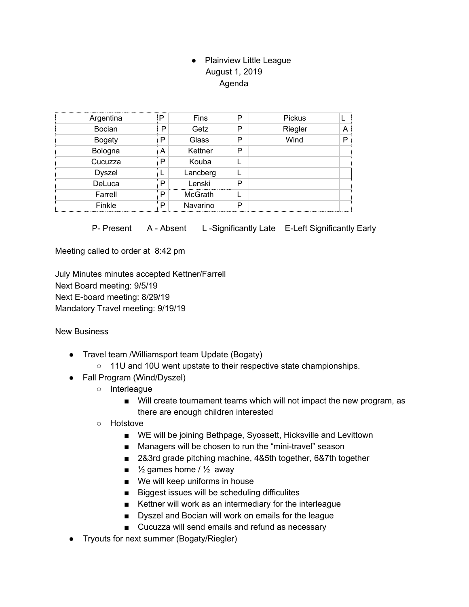## ● Plainview Little League August 1, 2019 Agenda

| Argentina     |   | Fins           | P | Pickus  |   |
|---------------|---|----------------|---|---------|---|
| <b>Bocian</b> | P | Getz           | P | Riegler | A |
| <b>Bogaty</b> | P | Glass          | P | Wind    | D |
| Bologna       | А | Kettner        | P |         |   |
| Cucuzza       | Р | Kouba          |   |         |   |
| <b>Dyszel</b> |   | Lancberg       |   |         |   |
| DeLuca        | P | Lenski         | P |         |   |
| Farrell       | P | <b>McGrath</b> |   |         |   |
| Finkle        | P | Navarino       | P |         |   |

P- Present A - Absent L-Significantly Late E-Left Significantly Early

Meeting called to order at 8:42 pm

July Minutes minutes accepted Kettner/Farrell Next Board meeting: 9/5/19 Next E-board meeting: 8/29/19 Mandatory Travel meeting: 9/19/19

New Business

- Travel team /Williamsport team Update (Bogaty)
	- 11U and 10U went upstate to their respective state championships.
- Fall Program (Wind/Dyszel)
	- Interleague
		- Will create tournament teams which will not impact the new program, as there are enough children interested
	- Hotstove
		- WE will be joining Bethpage, Syossett, Hicksville and Levittown
		- Managers will be chosen to run the "mini-travel" season
		- 2&3rd grade pitching machine, 4&5th together, 6&7th together
		- $\blacksquare$  % games home /  $\frac{1}{2}$  away
		- We will keep uniforms in house
		- Biggest issues will be scheduling difficulites
		- Kettner will work as an intermediary for the interleague
		- Dyszel and Bocian will work on emails for the league
		- Cucuzza will send emails and refund as necessary
- Tryouts for next summer (Bogaty/Riegler)